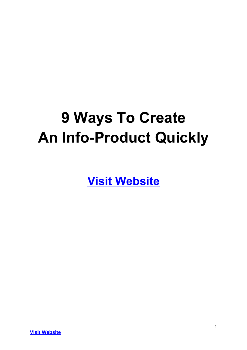# **9 Ways To Create An Info-Product Quickly**

**[Visit Website](http://replug.link/f7ab3460/)**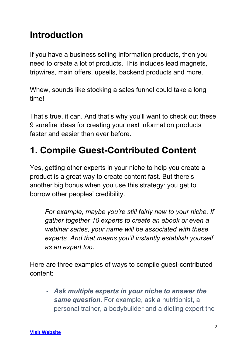#### **Introduction**

If you have a business selling information products, then you need to create a lot of products. This includes lead magnets, tripwires, main offers, upsells, backend products and more.

Whew, sounds like stocking a sales funnel could take a long time!

That's true, it can. And that's why you'll want to check out these 9 surefire ideas for creating your next information products faster and easier than ever before.

#### **1. Compile Guest-Contributed Content**

Yes, getting other experts in your niche to help you create a product is a great way to create content fast. But there's another big bonus when you use this strategy: you get to borrow other peoples' credibility.

*For example, maybe you're still fairly new to your niche. If gather together 10 experts to create an ebook or even a webinar series, your name will be associated with these experts. And that means you'll instantly establish yourself as an expert too.*

Here are three examples of ways to compile guest-contributed content:

• *Ask multiple experts in your niche to answer the same question*. For example, ask a nutritionist, a personal trainer, a bodybuilder and a dieting expert the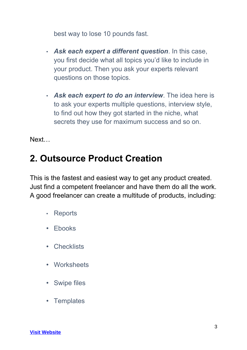best way to lose 10 pounds fast.

- *Ask each expert a different question*. In this case, you first decide what all topics you'd like to include in your product. Then you ask your experts relevant questions on those topics.
- *Ask each expert to do an interview*. The idea here is to ask your experts multiple questions, interview style, to find out how they got started in the niche, what secrets they use for maximum success and so on.

Next…

#### **2. Outsource Product Creation**

This is the fastest and easiest way to get any product created. Just find a competent freelancer and have them do all the work. A good freelancer can create a multitude of products, including:

- Reports
- Ebooks
- Checklists
- Worksheets
- Swipe files
- Templates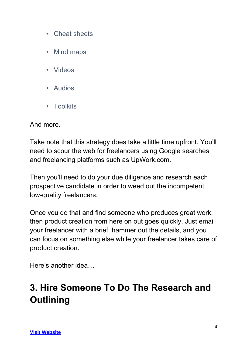- Cheat sheets
- Mind maps
- Videos
- Audios
- Toolkits

And more.

Take note that this strategy does take a little time upfront. You'll need to scour the web for freelancers using Google searches and freelancing platforms such as UpWork.com.

Then you'll need to do your due diligence and research each prospective candidate in order to weed out the incompetent, low-quality freelancers.

Once you do that and find someone who produces great work, then product creation from here on out goes quickly. Just email your freelancer with a brief, hammer out the details, and you can focus on something else while your freelancer takes care of product creation.

Here's another idea…

#### **3. Hire Someone To Do The Research and Outlining**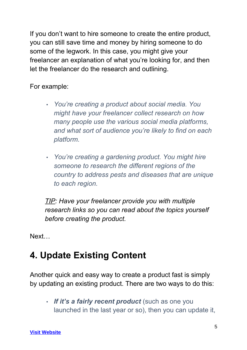If you don't want to hire someone to create the entire product, you can still save time and money by hiring someone to do some of the legwork. In this case, you might give your freelancer an explanation of what you're looking for, and then let the freelancer do the research and outlining.

For example:

- *You're creating a product about social media. You might have your freelancer collect research on how many people use the various social media platforms, and what sort of audience you're likely to find on each platform.*
- *You're creating a gardening product. You might hire someone to research the different regions of the country to address pests and diseases that are unique to each region.*

*TIP: Have your freelancer provide you with multiple research links so you can read about the topics yourself before creating the product.*

Next…

## **4. Update Existing Content**

Another quick and easy way to create a product fast is simply by updating an existing product. There are two ways to do this:

• *If it's a fairly recent product* (such as one you launched in the last year or so), then you can update it,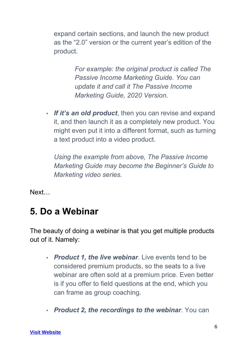expand certain sections, and launch the new product as the "2.0" version or the current year's edition of the product.

> *For example: the original product is called The Passive Income Marketing Guide. You can update it and call it The Passive Income Marketing Guide, 2020 Version.*

• *If it's an old product*, then you can revise and expand it, and then launch it as a completely new product. You might even put it into a different format, such as turning a text product into a video product.

*Using the example from above, The Passive Income Marketing Guide may become the Beginner's Guide to Marketing video series.*

Next…

#### **5. Do a Webinar**

The beauty of doing a webinar is that you get multiple products out of it. Namely:

- *Product 1, the live webinar*. Live events tend to be considered premium products, so the seats to a live webinar are often sold at a premium price. Even better is if you offer to field questions at the end, which you can frame as group coaching.
- *Product 2, the recordings to the webinar*. You can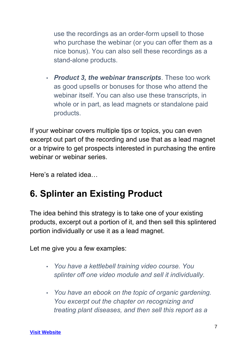use the recordings as an order-form upsell to those who purchase the webinar (or you can offer them as a nice bonus). You can also sell these recordings as a stand-alone products.

• *Product 3, the webinar transcripts*. These too work as good upsells or bonuses for those who attend the webinar itself. You can also use these transcripts, in whole or in part, as lead magnets or standalone paid products.

If your webinar covers multiple tips or topics, you can even excerpt out part of the recording and use that as a lead magnet or a tripwire to get prospects interested in purchasing the entire webinar or webinar series.

Here's a related idea…

#### **6. Splinter an Existing Product**

The idea behind this strategy is to take one of your existing products, excerpt out a portion of it, and then sell this splintered portion individually or use it as a lead magnet.

Let me give you a few examples:

- *You have a kettlebell training video course. You splinter off one video module and sell it individually.*
- *You have an ebook on the topic of organic gardening. You excerpt out the chapter on recognizing and treating plant diseases, and then sell this report as a*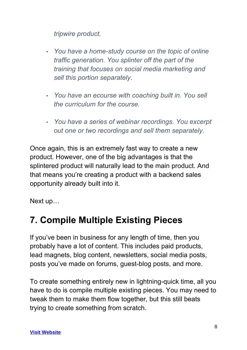*tripwire product.*

- *You have a home-study course on the topic of online traffic generation. You splinter off the part of the training that focuses on social media marketing and sell this portion separately.*
- *You have an ecourse with coaching built in. You sell the curriculum for the course.*
- *You have a series of webinar recordings. You excerpt out one or two recordings and sell them separately.*

Once again, this is an extremely fast way to create a new product. However, one of the big advantages is that the splintered product will naturally lead to the main product. And that means you're creating a product with a backend sales opportunity already built into it.

Next up…

#### **7. Compile Multiple Existing Pieces**

If you've been in business for any length of time, then you probably have a lot of content. This includes paid products, lead magnets, blog content, newsletters, social media posts, posts you've made on forums, guest-blog posts, and more.

To create something entirely new in lightning-quick time, all you have to do is compile multiple existing pieces. You may need to tweak them to make them flow together, but this still beats trying to create something from scratch.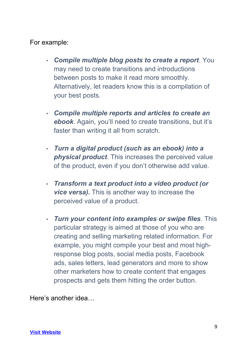For example:

- *Compile multiple blog posts to create a report*. You may need to create transitions and introductions between posts to make it read more smoothly. Alternatively, let readers know this is a compilation of your best posts.
- *Compile multiple reports and articles to create an ebook*. Again, you'll need to create transitions, but it's faster than writing it all from scratch.
- *Turn a digital product (such as an ebook) into a physical product*. This increases the perceived value of the product, even if you don't otherwise add value.
- *Transform a text product into a video product (or vice versa).* This is another way to increase the perceived value of a product.
- *Turn your content into examples or swipe files*. This particular strategy is aimed at those of you who are creating and selling marketing related information. For example, you might compile your best and most highresponse blog posts, social media posts, Facebook ads, sales letters, lead generators and more to show other marketers how to create content that engages prospects and gets them hitting the order button.

Here's another idea…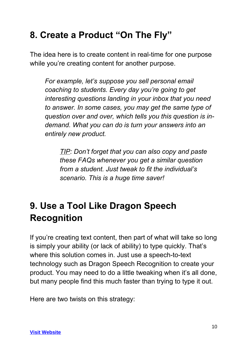#### **8. Create a Product "On The Fly"**

The idea here is to create content in real-time for one purpose while you're creating content for another purpose.

*For example, let's suppose you sell personal email coaching to students. Every day you're going to get interesting questions landing in your inbox that you need to answer. In some cases, you may get the same type of question over and over, which tells you this question is indemand. What you can do is turn your answers into an entirely new product.* 

*TIP: Don't forget that you can also copy and paste these FAQs whenever you get a similar question from a student. Just tweak to fit the individual's scenario. This is a huge time saver!*

### **9. Use a Tool Like Dragon Speech Recognition**

If you're creating text content, then part of what will take so long is simply your ability (or lack of ability) to type quickly. That's where this solution comes in. Just use a speech-to-text technology such as Dragon Speech Recognition to create your product. You may need to do a little tweaking when it's all done, but many people find this much faster than trying to type it out.

Here are two twists on this strategy: